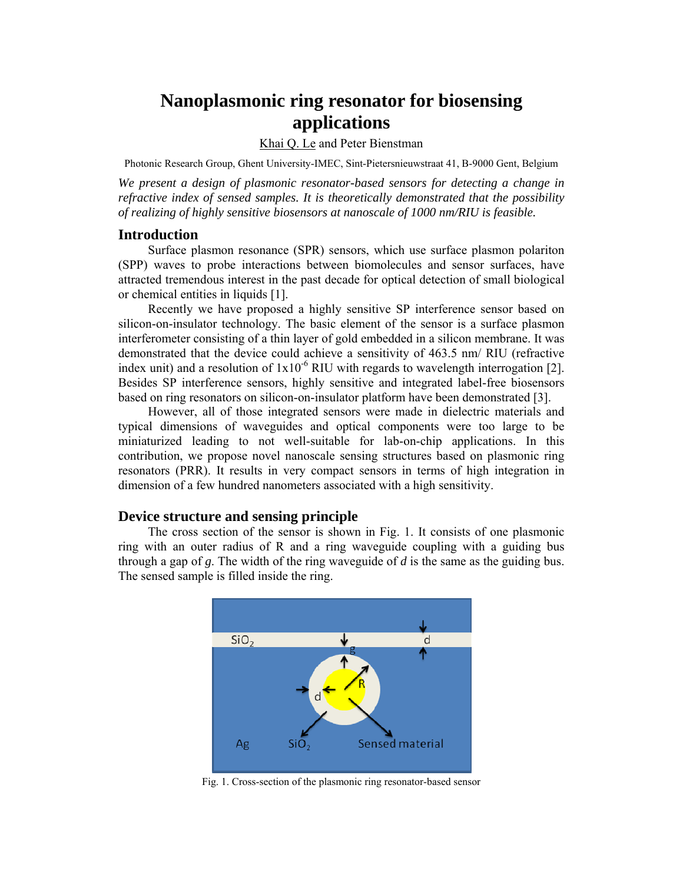# **Nanoplasmonic ring resonator for biosensing applications**

### Khai Q. Le and Peter Bienstman

Photonic Research Group, Ghent University-IMEC, Sint-Pietersnieuwstraat 41, B-9000 Gent, Belgium

*We present a design of plasmonic resonator-based sensors for detecting a change in refractive index of sensed samples. It is theoretically demonstrated that the possibility of realizing of highly sensitive biosensors at nanoscale of 1000 nm/RIU is feasible.* 

#### **Introduction**

Surface plasmon resonance (SPR) sensors, which use surface plasmon polariton (SPP) waves to probe interactions between biomolecules and sensor surfaces, have attracted tremendous interest in the past decade for optical detection of small biological or chemical entities in liquids [1].

Recently we have proposed a highly sensitive SP interference sensor based on silicon-on-insulator technology. The basic element of the sensor is a surface plasmon interferometer consisting of a thin layer of gold embedded in a silicon membrane. It was demonstrated that the device could achieve a sensitivity of 463.5 nm/ RIU (refractive index unit) and a resolution of  $1x10^{-6}$  RIU with regards to wavelength interrogation [2]. Besides SP interference sensors, highly sensitive and integrated label-free biosensors based on ring resonators on silicon-on-insulator platform have been demonstrated [3].

However, all of those integrated sensors were made in dielectric materials and typical dimensions of waveguides and optical components were too large to be miniaturized leading to not well-suitable for lab-on-chip applications. In this contribution, we propose novel nanoscale sensing structures based on plasmonic ring resonators (PRR). It results in very compact sensors in terms of high integration in dimension of a few hundred nanometers associated with a high sensitivity.

#### **Device structure and sensing principle**

The cross section of the sensor is shown in Fig. 1. It consists of one plasmonic ring with an outer radius of R and a ring waveguide coupling with a guiding bus through a gap of *g*. The width of the ring waveguide of *d* is the same as the guiding bus. The sensed sample is filled inside the ring.



Fig. 1. Cross-section of the plasmonic ring resonator-based sensor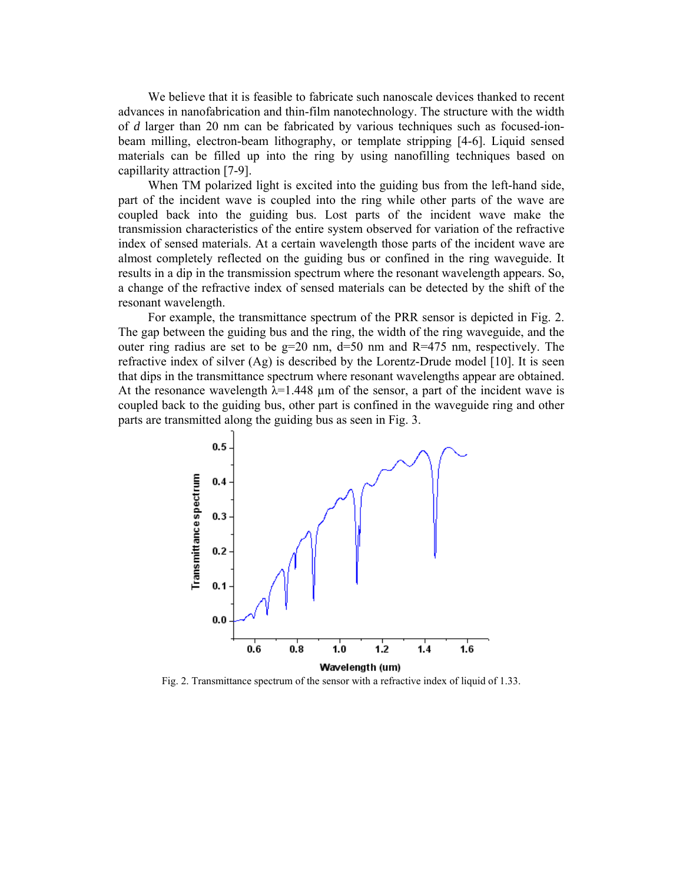We believe that it is feasible to fabricate such nanoscale devices thanked to recent advances in nanofabrication and thin-film nanotechnology. The structure with the width of *d* larger than 20 nm can be fabricated by various techniques such as focused-ionbeam milling, electron-beam lithography, or template stripping [4-6]. Liquid sensed materials can be filled up into the ring by using nanofilling techniques based on capillarity attraction [7-9].

When TM polarized light is excited into the guiding bus from the left-hand side, part of the incident wave is coupled into the ring while other parts of the wave are coupled back into the guiding bus. Lost parts of the incident wave make the transmission characteristics of the entire system observed for variation of the refractive index of sensed materials. At a certain wavelength those parts of the incident wave are almost completely reflected on the guiding bus or confined in the ring waveguide. It results in a dip in the transmission spectrum where the resonant wavelength appears. So, a change of the refractive index of sensed materials can be detected by the shift of the resonant wavelength.

For example, the transmittance spectrum of the PRR sensor is depicted in Fig. 2. The gap between the guiding bus and the ring, the width of the ring waveguide, and the outer ring radius are set to be  $g=20$  nm,  $d=50$  nm and  $R=475$  nm, respectively. The refractive index of silver (Ag) is described by the Lorentz-Drude model [10]. It is seen that dips in the transmittance spectrum where resonant wavelengths appear are obtained. At the resonance wavelength  $\lambda$ =1.448 µm of the sensor, a part of the incident wave is coupled back to the guiding bus, other part is confined in the waveguide ring and other parts are transmitted along the guiding bus as seen in Fig. 3.



Fig. 2. Transmittance spectrum of the sensor with a refractive index of liquid of 1.33.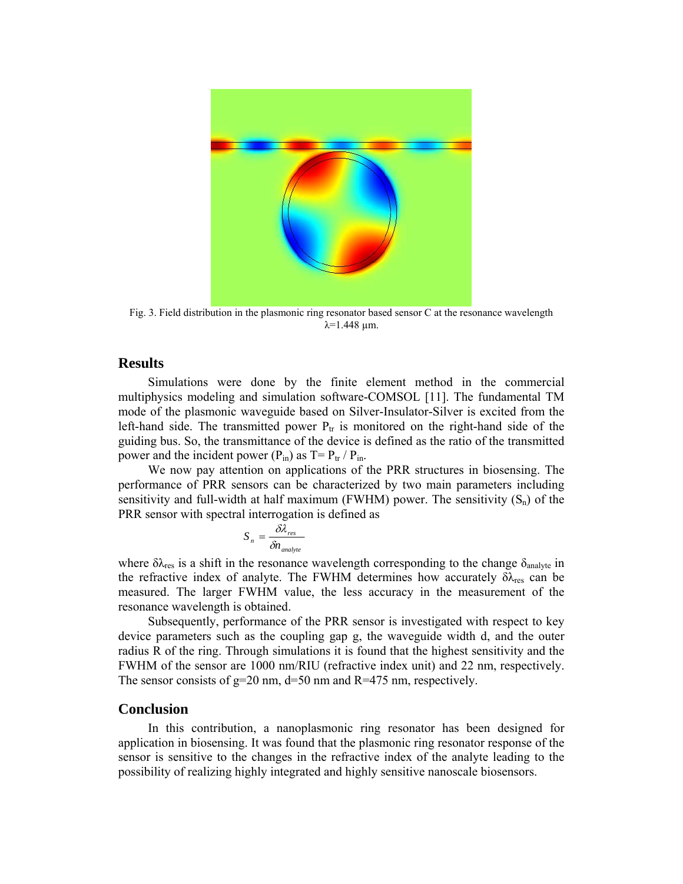

Fig. 3. Field distribution in the plasmonic ring resonator based sensor C at the resonance wavelength  $λ=1.448$  μm.

## **Results**

Simulations were done by the finite element method in the commercial multiphysics modeling and simulation software-COMSOL [11]. The fundamental TM mode of the plasmonic waveguide based on Silver-Insulator-Silver is excited from the left-hand side. The transmitted power  $P_{tr}$  is monitored on the right-hand side of the guiding bus. So, the transmittance of the device is defined as the ratio of the transmitted power and the incident power  $(P_{in})$  as  $T = P_{tr}/P_{in}$ .

We now pay attention on applications of the PRR structures in biosensing. The performance of PRR sensors can be characterized by two main parameters including sensitivity and full-width at half maximum (FWHM) power. The sensitivity  $(S_n)$  of the PRR sensor with spectral interrogation is defined as

$$
S_n = \frac{\delta \lambda_{res}}{\delta n_{analyte}}
$$

where  $\delta \lambda_{res}$  is a shift in the resonance wavelength corresponding to the change  $\delta_{analyte}$  in the refractive index of analyte. The FWHM determines how accurately  $\delta \lambda_{res}$  can be measured. The larger FWHM value, the less accuracy in the measurement of the resonance wavelength is obtained.

Subsequently, performance of the PRR sensor is investigated with respect to key device parameters such as the coupling gap g, the waveguide width d, and the outer radius R of the ring. Through simulations it is found that the highest sensitivity and the FWHM of the sensor are 1000 nm/RIU (refractive index unit) and 22 nm, respectively. The sensor consists of  $g=20$  nm,  $d=50$  nm and  $R=475$  nm, respectively.

### **Conclusion**

In this contribution, a nanoplasmonic ring resonator has been designed for application in biosensing. It was found that the plasmonic ring resonator response of the sensor is sensitive to the changes in the refractive index of the analyte leading to the possibility of realizing highly integrated and highly sensitive nanoscale biosensors.